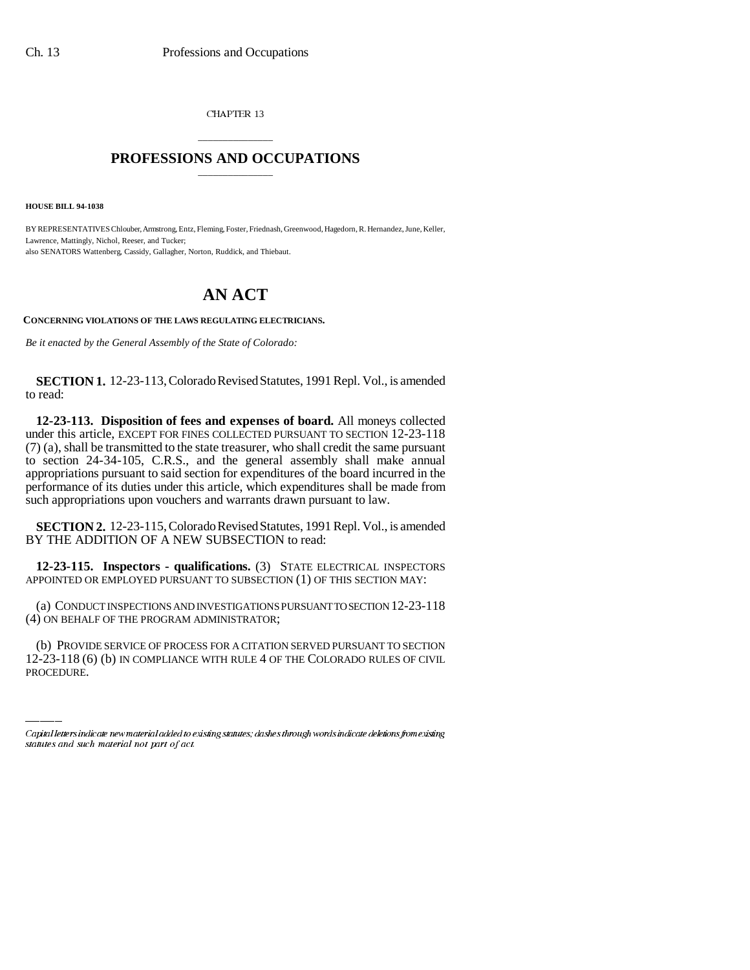CHAPTER 13

## \_\_\_\_\_\_\_\_\_\_\_\_\_\_\_ **PROFESSIONS AND OCCUPATIONS** \_\_\_\_\_\_\_\_\_\_\_\_\_\_\_

**HOUSE BILL 94-1038**

BY REPRESENTATIVES Chlouber, Armstrong, Entz, Fleming, Foster, Friednash, Greenwood, Hagedorn, R. Hernandez, June, Keller, Lawrence, Mattingly, Nichol, Reeser, and Tucker; also SENATORS Wattenberg, Cassidy, Gallagher, Norton, Ruddick, and Thiebaut.

## **AN ACT**

**CONCERNING VIOLATIONS OF THE LAWS REGULATING ELECTRICIANS.**

*Be it enacted by the General Assembly of the State of Colorado:*

**SECTION 1.** 12-23-113, Colorado Revised Statutes, 1991 Repl. Vol., is amended to read:

**12-23-113. Disposition of fees and expenses of board.** All moneys collected under this article, EXCEPT FOR FINES COLLECTED PURSUANT TO SECTION 12-23-118 (7) (a), shall be transmitted to the state treasurer, who shall credit the same pursuant to section 24-34-105, C.R.S., and the general assembly shall make annual appropriations pursuant to said section for expenditures of the board incurred in the performance of its duties under this article, which expenditures shall be made from such appropriations upon vouchers and warrants drawn pursuant to law.

**SECTION 2.** 12-23-115, Colorado Revised Statutes, 1991 Repl. Vol., is amended BY THE ADDITION OF A NEW SUBSECTION to read:

**12-23-115. Inspectors - qualifications.** (3) STATE ELECTRICAL INSPECTORS APPOINTED OR EMPLOYED PURSUANT TO SUBSECTION (1) OF THIS SECTION MAY:

(4) ON BEHALF OF THE PROGRAM ADMINISTRATOR; (a) CONDUCT INSPECTIONS AND INVESTIGATIONS PURSUANT TO SECTION 12-23-118

(b) PROVIDE SERVICE OF PROCESS FOR A CITATION SERVED PURSUANT TO SECTION 12-23-118 (6) (b) IN COMPLIANCE WITH RULE 4 OF THE COLORADO RULES OF CIVIL PROCEDURE.

Capital letters indicate new material added to existing statutes; dashes through words indicate deletions from existing statutes and such material not part of act.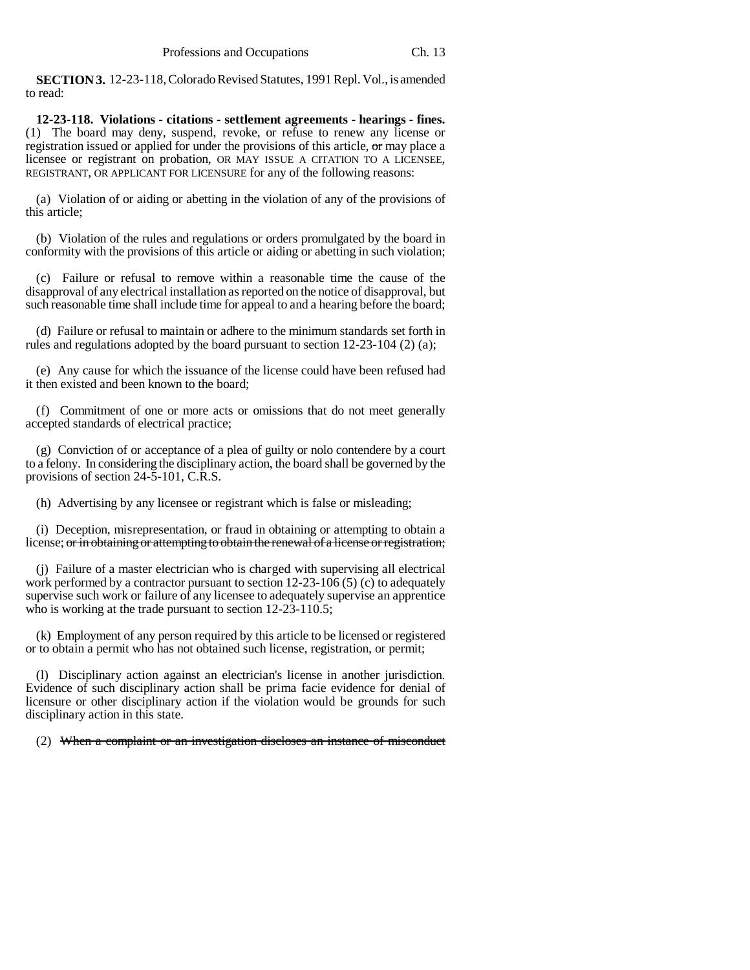**SECTION 3.** 12-23-118, Colorado Revised Statutes, 1991 Repl. Vol., is amended to read:

**12-23-118. Violations - citations - settlement agreements - hearings - fines.** (1) The board may deny, suspend, revoke, or refuse to renew any license or registration issued or applied for under the provisions of this article, or may place a licensee or registrant on probation, OR MAY ISSUE A CITATION TO A LICENSEE, REGISTRANT, OR APPLICANT FOR LICENSURE for any of the following reasons:

(a) Violation of or aiding or abetting in the violation of any of the provisions of this article;

(b) Violation of the rules and regulations or orders promulgated by the board in conformity with the provisions of this article or aiding or abetting in such violation;

(c) Failure or refusal to remove within a reasonable time the cause of the disapproval of any electrical installation as reported on the notice of disapproval, but such reasonable time shall include time for appeal to and a hearing before the board;

(d) Failure or refusal to maintain or adhere to the minimum standards set forth in rules and regulations adopted by the board pursuant to section 12-23-104 (2) (a);

(e) Any cause for which the issuance of the license could have been refused had it then existed and been known to the board;

(f) Commitment of one or more acts or omissions that do not meet generally accepted standards of electrical practice;

(g) Conviction of or acceptance of a plea of guilty or nolo contendere by a court to a felony. In considering the disciplinary action, the board shall be governed by the provisions of section 24-5-101, C.R.S.

(h) Advertising by any licensee or registrant which is false or misleading;

(i) Deception, misrepresentation, or fraud in obtaining or attempting to obtain a license; or in obtaining or attempting to obtain the renewal of a license or registration;

(j) Failure of a master electrician who is charged with supervising all electrical work performed by a contractor pursuant to section 12-23-106 (5) (c) to adequately supervise such work or failure of any licensee to adequately supervise an apprentice who is working at the trade pursuant to section 12-23-110.5;

(k) Employment of any person required by this article to be licensed or registered or to obtain a permit who has not obtained such license, registration, or permit;

(l) Disciplinary action against an electrician's license in another jurisdiction. Evidence of such disciplinary action shall be prima facie evidence for denial of licensure or other disciplinary action if the violation would be grounds for such disciplinary action in this state.

(2) When a complaint or an investigation discloses an instance of misconduct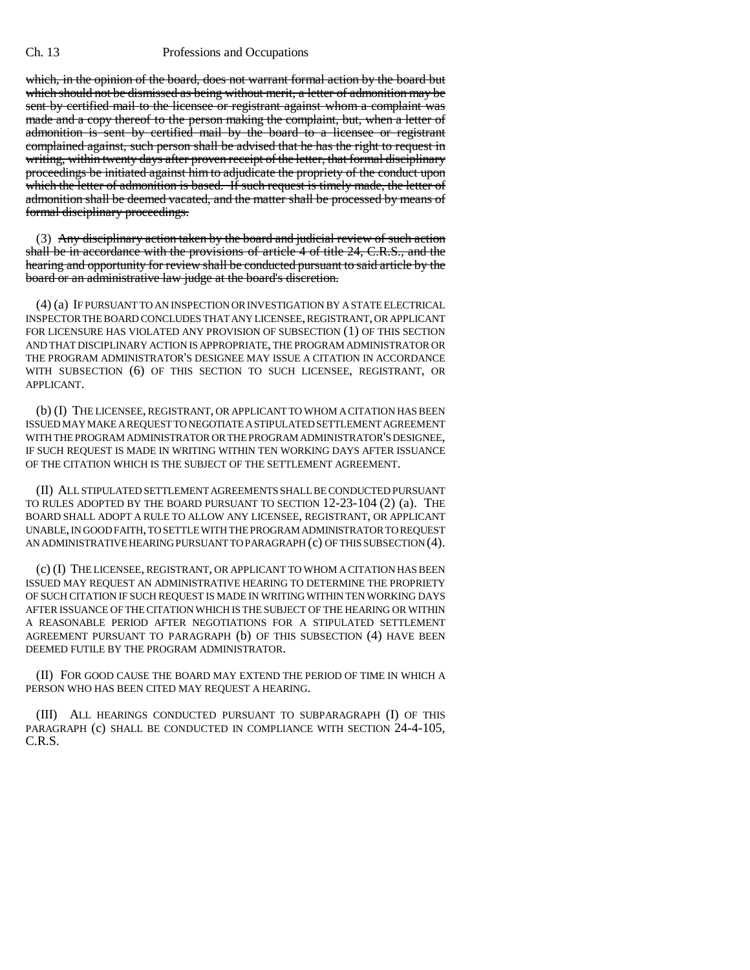## Ch. 13 Professions and Occupations

which, in the opinion of the board, does not warrant formal action by the board but which should not be dismissed as being without merit, a letter of admonition may be sent by certified mail to the licensee or registrant against whom a complaint was made and a copy thereof to the person making the complaint, but, when a letter of admonition is sent by certified mail by the board to a licensee or registrant complained against, such person shall be advised that he has the right to request in writing, within twenty days after proven receipt of the letter, that formal disciplinary proceedings be initiated against him to adjudicate the propriety of the conduct upon which the letter of admonition is based. If such request is timely made, the letter of admonition shall be deemed vacated, and the matter shall be processed by means of formal disciplinary proceedings.

(3) Any disciplinary action taken by the board and judicial review of such action shall be in accordance with the provisions of article 4 of title 24, C.R.S., and the hearing and opportunity for review shall be conducted pursuant to said article by the board or an administrative law judge at the board's discretion.

(4) (a) IF PURSUANT TO AN INSPECTION OR INVESTIGATION BY A STATE ELECTRICAL INSPECTOR THE BOARD CONCLUDES THAT ANY LICENSEE, REGISTRANT, OR APPLICANT FOR LICENSURE HAS VIOLATED ANY PROVISION OF SUBSECTION (1) OF THIS SECTION AND THAT DISCIPLINARY ACTION IS APPROPRIATE, THE PROGRAM ADMINISTRATOR OR THE PROGRAM ADMINISTRATOR'S DESIGNEE MAY ISSUE A CITATION IN ACCORDANCE WITH SUBSECTION (6) OF THIS SECTION TO SUCH LICENSEE, REGISTRANT, OR APPLICANT.

(b) (I) THE LICENSEE, REGISTRANT, OR APPLICANT TO WHOM A CITATION HAS BEEN ISSUED MAY MAKE A REQUEST TO NEGOTIATE A STIPULATED SETTLEMENT AGREEMENT WITH THE PROGRAM ADMINISTRATOR OR THE PROGRAM ADMINISTRATOR'S DESIGNEE, IF SUCH REQUEST IS MADE IN WRITING WITHIN TEN WORKING DAYS AFTER ISSUANCE OF THE CITATION WHICH IS THE SUBJECT OF THE SETTLEMENT AGREEMENT.

(II) ALL STIPULATED SETTLEMENT AGREEMENTS SHALL BE CONDUCTED PURSUANT TO RULES ADOPTED BY THE BOARD PURSUANT TO SECTION 12-23-104 (2) (a). THE BOARD SHALL ADOPT A RULE TO ALLOW ANY LICENSEE, REGISTRANT, OR APPLICANT UNABLE, IN GOOD FAITH, TO SETTLE WITH THE PROGRAM ADMINISTRATOR TO REQUEST AN ADMINISTRATIVE HEARING PURSUANT TO PARAGRAPH (c) OF THIS SUBSECTION (4).

(c) (I) THE LICENSEE, REGISTRANT, OR APPLICANT TO WHOM A CITATION HAS BEEN ISSUED MAY REQUEST AN ADMINISTRATIVE HEARING TO DETERMINE THE PROPRIETY OF SUCH CITATION IF SUCH REQUEST IS MADE IN WRITING WITHIN TEN WORKING DAYS AFTER ISSUANCE OF THE CITATION WHICH IS THE SUBJECT OF THE HEARING OR WITHIN A REASONABLE PERIOD AFTER NEGOTIATIONS FOR A STIPULATED SETTLEMENT AGREEMENT PURSUANT TO PARAGRAPH (b) OF THIS SUBSECTION (4) HAVE BEEN DEEMED FUTILE BY THE PROGRAM ADMINISTRATOR.

(II) FOR GOOD CAUSE THE BOARD MAY EXTEND THE PERIOD OF TIME IN WHICH A PERSON WHO HAS BEEN CITED MAY REQUEST A HEARING.

(III) ALL HEARINGS CONDUCTED PURSUANT TO SUBPARAGRAPH (I) OF THIS PARAGRAPH (c) SHALL BE CONDUCTED IN COMPLIANCE WITH SECTION 24-4-105, C.R.S.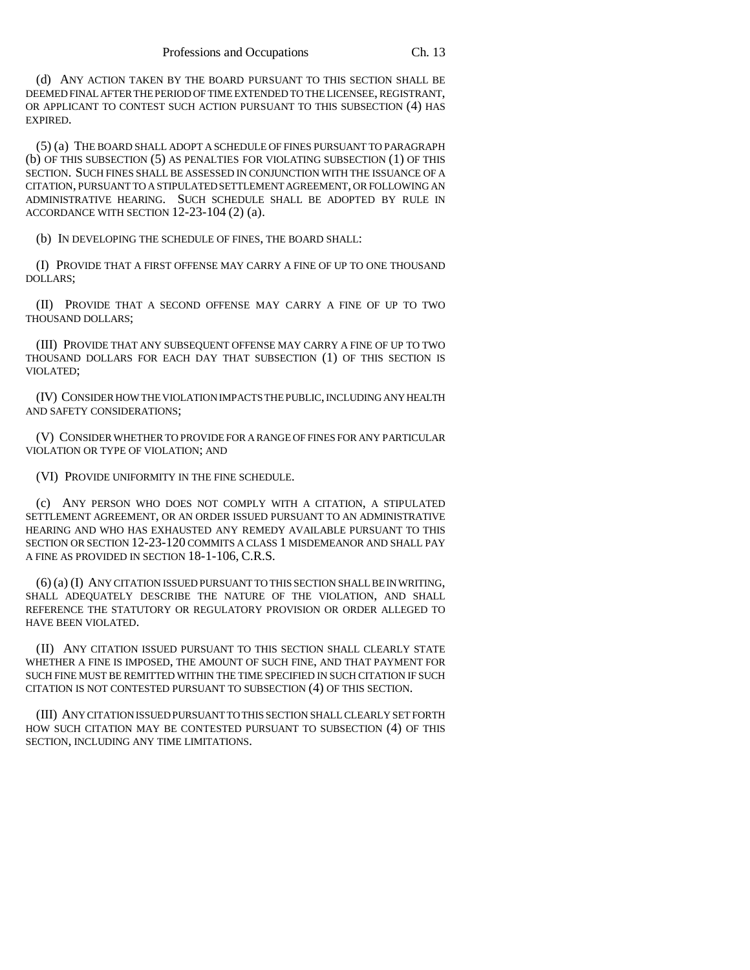(d) ANY ACTION TAKEN BY THE BOARD PURSUANT TO THIS SECTION SHALL BE DEEMED FINAL AFTER THE PERIOD OF TIME EXTENDED TO THE LICENSEE, REGISTRANT, OR APPLICANT TO CONTEST SUCH ACTION PURSUANT TO THIS SUBSECTION (4) HAS EXPIRED.

(5) (a) THE BOARD SHALL ADOPT A SCHEDULE OF FINES PURSUANT TO PARAGRAPH (b) OF THIS SUBSECTION (5) AS PENALTIES FOR VIOLATING SUBSECTION (1) OF THIS SECTION. SUCH FINES SHALL BE ASSESSED IN CONJUNCTION WITH THE ISSUANCE OF A CITATION, PURSUANT TO A STIPULATED SETTLEMENT AGREEMENT, OR FOLLOWING AN ADMINISTRATIVE HEARING. SUCH SCHEDULE SHALL BE ADOPTED BY RULE IN ACCORDANCE WITH SECTION 12-23-104 (2) (a).

(b) IN DEVELOPING THE SCHEDULE OF FINES, THE BOARD SHALL:

(I) PROVIDE THAT A FIRST OFFENSE MAY CARRY A FINE OF UP TO ONE THOUSAND DOLLARS;

(II) PROVIDE THAT A SECOND OFFENSE MAY CARRY A FINE OF UP TO TWO THOUSAND DOLLARS;

(III) PROVIDE THAT ANY SUBSEQUENT OFFENSE MAY CARRY A FINE OF UP TO TWO THOUSAND DOLLARS FOR EACH DAY THAT SUBSECTION (1) OF THIS SECTION IS VIOLATED;

(IV) CONSIDER HOW THE VIOLATION IMPACTS THE PUBLIC, INCLUDING ANY HEALTH AND SAFETY CONSIDERATIONS;

(V) CONSIDER WHETHER TO PROVIDE FOR A RANGE OF FINES FOR ANY PARTICULAR VIOLATION OR TYPE OF VIOLATION; AND

(VI) PROVIDE UNIFORMITY IN THE FINE SCHEDULE.

(c) ANY PERSON WHO DOES NOT COMPLY WITH A CITATION, A STIPULATED SETTLEMENT AGREEMENT, OR AN ORDER ISSUED PURSUANT TO AN ADMINISTRATIVE HEARING AND WHO HAS EXHAUSTED ANY REMEDY AVAILABLE PURSUANT TO THIS SECTION OR SECTION 12-23-120 COMMITS A CLASS 1 MISDEMEANOR AND SHALL PAY A FINE AS PROVIDED IN SECTION 18-1-106, C.R.S.

(6) (a) (I) ANY CITATION ISSUED PURSUANT TO THIS SECTION SHALL BE IN WRITING, SHALL ADEQUATELY DESCRIBE THE NATURE OF THE VIOLATION, AND SHALL REFERENCE THE STATUTORY OR REGULATORY PROVISION OR ORDER ALLEGED TO HAVE BEEN VIOLATED.

(II) ANY CITATION ISSUED PURSUANT TO THIS SECTION SHALL CLEARLY STATE WHETHER A FINE IS IMPOSED, THE AMOUNT OF SUCH FINE, AND THAT PAYMENT FOR SUCH FINE MUST BE REMITTED WITHIN THE TIME SPECIFIED IN SUCH CITATION IF SUCH CITATION IS NOT CONTESTED PURSUANT TO SUBSECTION (4) OF THIS SECTION.

(III) ANY CITATION ISSUED PURSUANT TO THIS SECTION SHALL CLEARLY SET FORTH HOW SUCH CITATION MAY BE CONTESTED PURSUANT TO SUBSECTION (4) OF THIS SECTION, INCLUDING ANY TIME LIMITATIONS.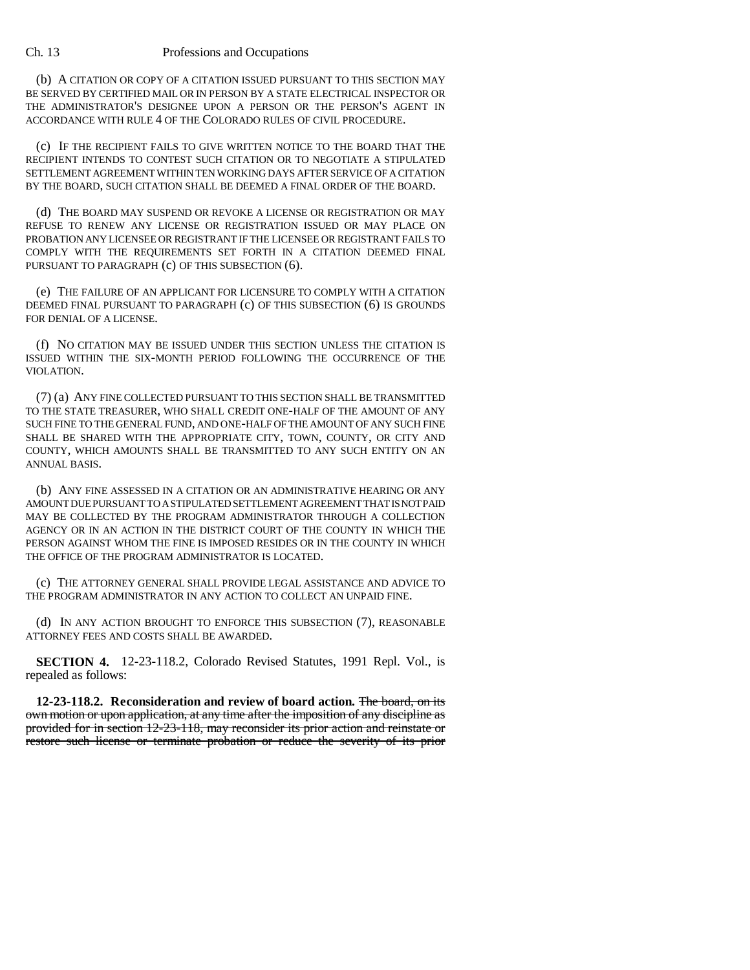## Ch. 13 Professions and Occupations

(b) A CITATION OR COPY OF A CITATION ISSUED PURSUANT TO THIS SECTION MAY BE SERVED BY CERTIFIED MAIL OR IN PERSON BY A STATE ELECTRICAL INSPECTOR OR THE ADMINISTRATOR'S DESIGNEE UPON A PERSON OR THE PERSON'S AGENT IN ACCORDANCE WITH RULE 4 OF THE COLORADO RULES OF CIVIL PROCEDURE.

(c) IF THE RECIPIENT FAILS TO GIVE WRITTEN NOTICE TO THE BOARD THAT THE RECIPIENT INTENDS TO CONTEST SUCH CITATION OR TO NEGOTIATE A STIPULATED SETTLEMENT AGREEMENT WITHIN TEN WORKING DAYS AFTER SERVICE OF A CITATION BY THE BOARD, SUCH CITATION SHALL BE DEEMED A FINAL ORDER OF THE BOARD.

(d) THE BOARD MAY SUSPEND OR REVOKE A LICENSE OR REGISTRATION OR MAY REFUSE TO RENEW ANY LICENSE OR REGISTRATION ISSUED OR MAY PLACE ON PROBATION ANY LICENSEE OR REGISTRANT IF THE LICENSEE OR REGISTRANT FAILS TO COMPLY WITH THE REQUIREMENTS SET FORTH IN A CITATION DEEMED FINAL PURSUANT TO PARAGRAPH (c) OF THIS SUBSECTION (6).

(e) THE FAILURE OF AN APPLICANT FOR LICENSURE TO COMPLY WITH A CITATION DEEMED FINAL PURSUANT TO PARAGRAPH (c) OF THIS SUBSECTION (6) IS GROUNDS FOR DENIAL OF A LICENSE.

(f) NO CITATION MAY BE ISSUED UNDER THIS SECTION UNLESS THE CITATION IS ISSUED WITHIN THE SIX-MONTH PERIOD FOLLOWING THE OCCURRENCE OF THE VIOLATION.

(7) (a) ANY FINE COLLECTED PURSUANT TO THIS SECTION SHALL BE TRANSMITTED TO THE STATE TREASURER, WHO SHALL CREDIT ONE-HALF OF THE AMOUNT OF ANY SUCH FINE TO THE GENERAL FUND, AND ONE-HALF OF THE AMOUNT OF ANY SUCH FINE SHALL BE SHARED WITH THE APPROPRIATE CITY, TOWN, COUNTY, OR CITY AND COUNTY, WHICH AMOUNTS SHALL BE TRANSMITTED TO ANY SUCH ENTITY ON AN ANNUAL BASIS.

(b) ANY FINE ASSESSED IN A CITATION OR AN ADMINISTRATIVE HEARING OR ANY AMOUNT DUE PURSUANT TO A STIPULATED SETTLEMENT AGREEMENT THAT IS NOT PAID MAY BE COLLECTED BY THE PROGRAM ADMINISTRATOR THROUGH A COLLECTION AGENCY OR IN AN ACTION IN THE DISTRICT COURT OF THE COUNTY IN WHICH THE PERSON AGAINST WHOM THE FINE IS IMPOSED RESIDES OR IN THE COUNTY IN WHICH THE OFFICE OF THE PROGRAM ADMINISTRATOR IS LOCATED.

(c) THE ATTORNEY GENERAL SHALL PROVIDE LEGAL ASSISTANCE AND ADVICE TO THE PROGRAM ADMINISTRATOR IN ANY ACTION TO COLLECT AN UNPAID FINE.

(d) IN ANY ACTION BROUGHT TO ENFORCE THIS SUBSECTION (7), REASONABLE ATTORNEY FEES AND COSTS SHALL BE AWARDED.

**SECTION 4.** 12-23-118.2, Colorado Revised Statutes, 1991 Repl. Vol., is repealed as follows:

**12-23-118.2. Reconsideration and review of board action.** The board, on its own motion or upon application, at any time after the imposition of any discipline as provided for in section 12-23-118, may reconsider its prior action and reinstate or restore such license or terminate probation or reduce the severity of its prior